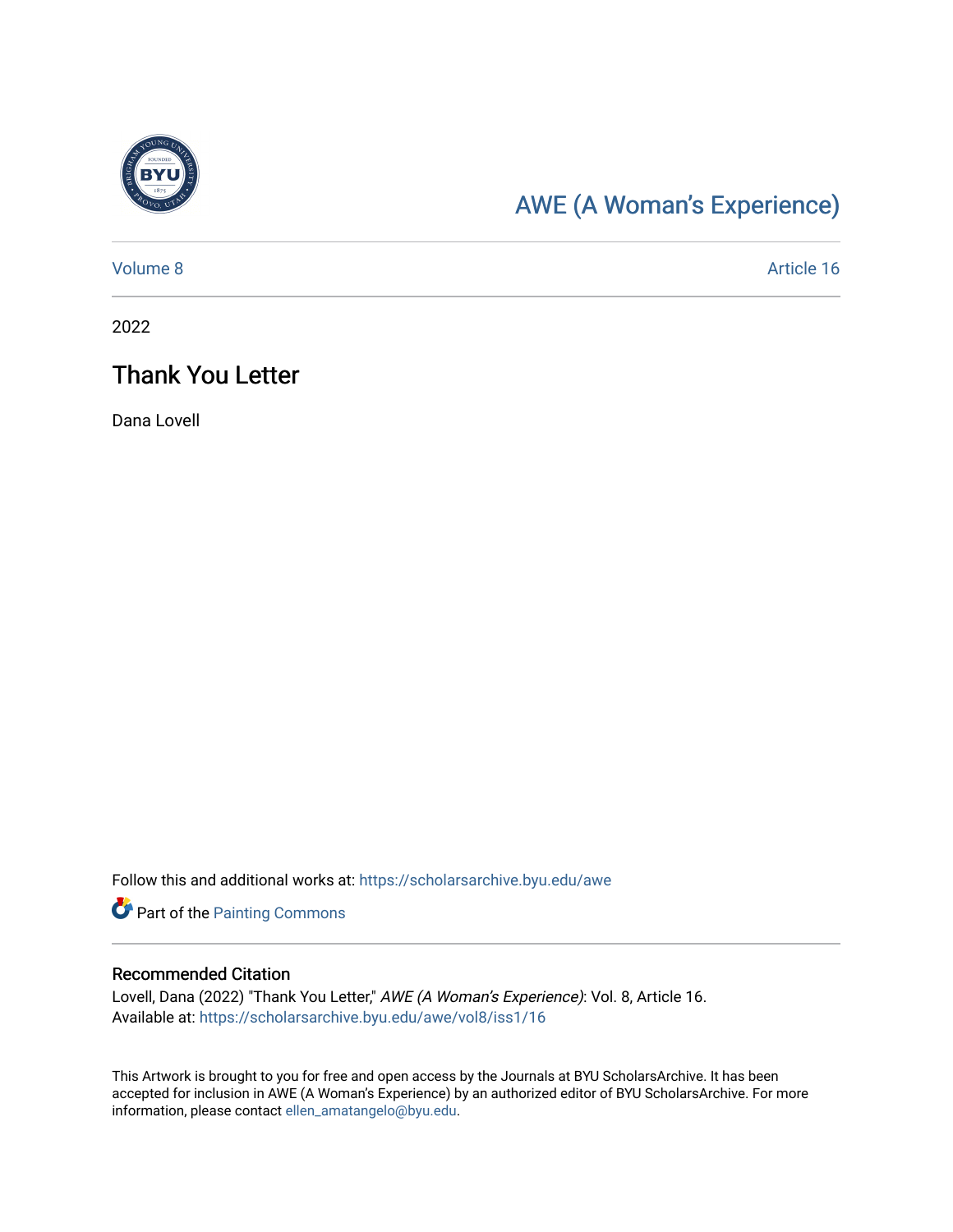

## [AWE \(A Woman's Experience\)](https://scholarsarchive.byu.edu/awe)

[Volume 8](https://scholarsarchive.byu.edu/awe/vol8) Article 16

2022

## Thank You Letter

Dana Lovell

Follow this and additional works at: [https://scholarsarchive.byu.edu/awe](https://scholarsarchive.byu.edu/awe?utm_source=scholarsarchive.byu.edu%2Fawe%2Fvol8%2Fiss1%2F16&utm_medium=PDF&utm_campaign=PDFCoverPages)

**Part of the [Painting Commons](https://network.bepress.com/hgg/discipline/1339?utm_source=scholarsarchive.byu.edu%2Fawe%2Fvol8%2Fiss1%2F16&utm_medium=PDF&utm_campaign=PDFCoverPages)** 

## Recommended Citation

Lovell, Dana (2022) "Thank You Letter," AWE (A Woman's Experience): Vol. 8, Article 16. Available at: [https://scholarsarchive.byu.edu/awe/vol8/iss1/16](https://scholarsarchive.byu.edu/awe/vol8/iss1/16?utm_source=scholarsarchive.byu.edu%2Fawe%2Fvol8%2Fiss1%2F16&utm_medium=PDF&utm_campaign=PDFCoverPages) 

This Artwork is brought to you for free and open access by the Journals at BYU ScholarsArchive. It has been accepted for inclusion in AWE (A Woman's Experience) by an authorized editor of BYU ScholarsArchive. For more information, please contact [ellen\\_amatangelo@byu.edu.](mailto:ellen_amatangelo@byu.edu)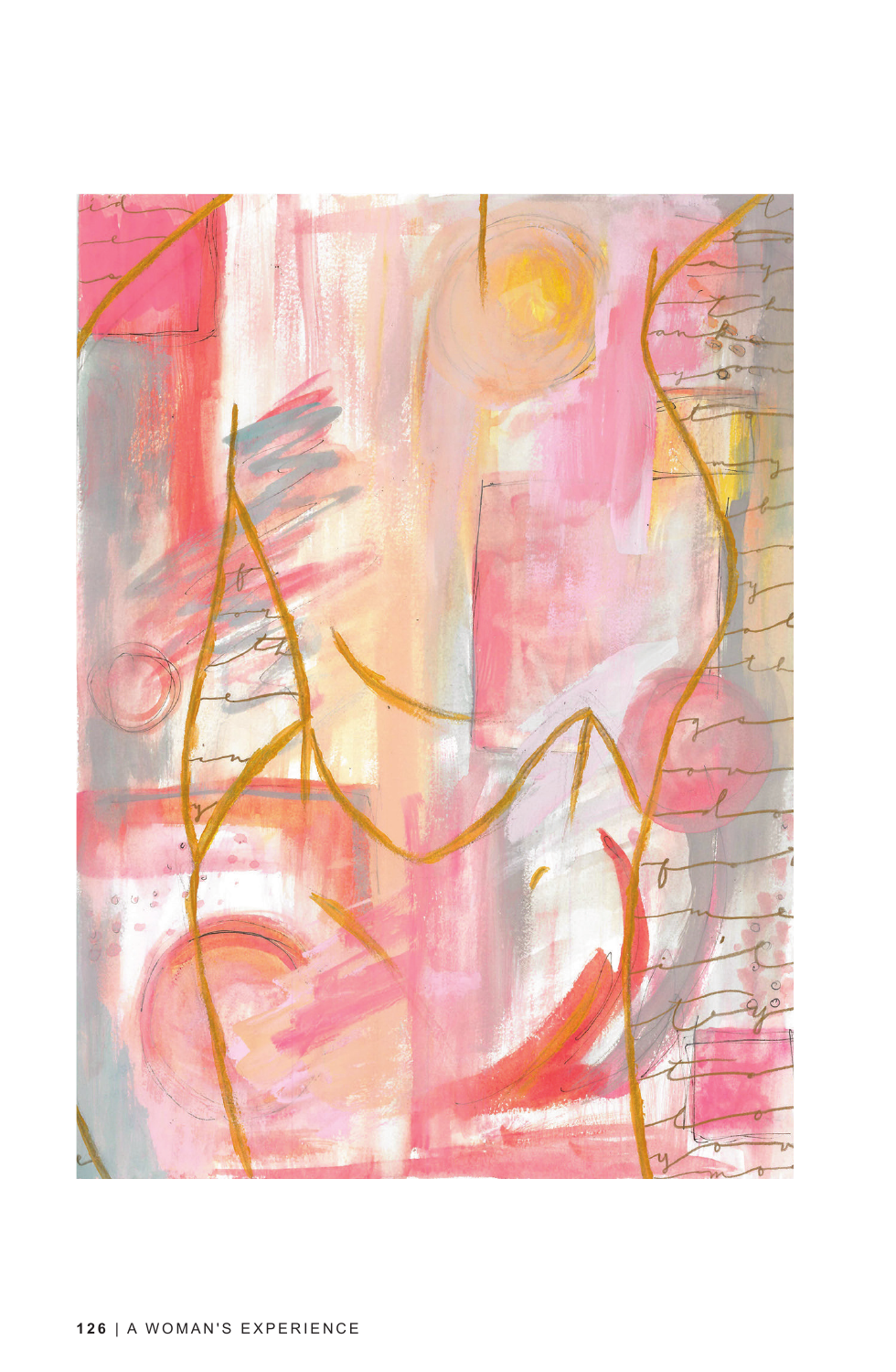